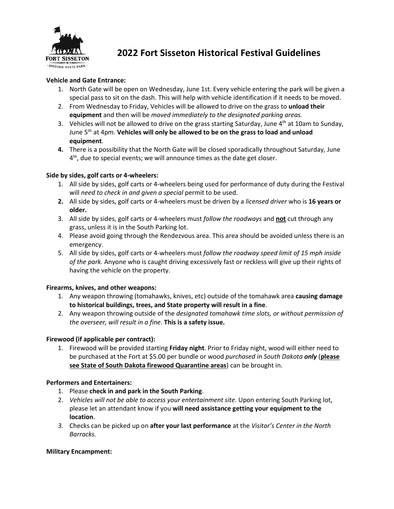

# **2022 Fort Sisseton Historical Festival Guidelines**

# **Vehicle and Gate Entrance:**

- 1. North Gate will be open on Wednesday, June 1st. Every vehicle entering the park will be given a special pass to sit on the dash. This will help with vehicle identification if it needs to be moved.
- 2. From Wednesday to Friday, Vehicles will be allowed to drive on the grass to **unload their equipment** and then will be *moved immediately to the designated parking areas.*
- 3. Vehicles will not be allowed to drive on the grass starting Saturday, June  $4<sup>th</sup>$  at 10am to Sunday, June 5 th at 4pm. **Vehicles will only be allowed to be on the grass to load and unload equipment**.
- **4.** There is a possibility that the North Gate will be closed sporadically throughout Saturday, June 4<sup>th</sup>, due to special events; we will announce times as the date get closer.

# **Side by sides, golf carts or 4-wheelers:**

- 1. All side by sides, golf carts or 4-wheelers being used for performance of duty during the Festival will *need to check in and given a special* permit to be used.
- **2.** All side by sides, golf carts or 4-wheelers must be driven by a *licensed driver* who is **16 years or older.**
- 3. All side by sides, golf carts or 4-wheelers must *follow the roadways* and **not** cut through any grass, unless it is in the South Parking lot.
- 4. Please avoid going through the Rendezvous area. This area should be avoided unless there is an emergency.
- 5. All side by sides, golf carts or 4-wheelers must *follow the roadway speed limit of 15 mph inside of the park.* Anyone who is caught driving excessively fast or reckless will give up their rights of having the vehicle on the property.

### **Firearms, knives, and other weapons:**

- 1. Any weapon throwing (tomahawks, knives, etc) outside of the tomahawk area **causing damage to historical buildings, trees, and State property will result in a fine**.
- 2. Any weapon throwing outside of the *designated tomahawk time slots, or without permission of the overseer, will result in a fine*. **This is a safety issue.**

# **Firewood (if applicable per contract):**

1. Firewood will be provided starting **Friday night**. Prior to Friday night, wood will either need to be purchased at the Fort at \$5.00 per bundle or wood *purchased in South Dakota only* (**please see State of South Dakota firewood Quarantine areas**) can be brought in.

### **Performers and Entertainers:**

- 1. Please **check in and park in the South Parking**.
- 2. *Vehicles will not be able to access your entertainment site*. Upon entering South Parking lot, please let an attendant know if you **will need assistance getting your equipment to the location**.
- *3.* Checks can be picked up on **after your last performance** at the *Visitor's Center in the North Barracks.*

### **Military Encampment:**